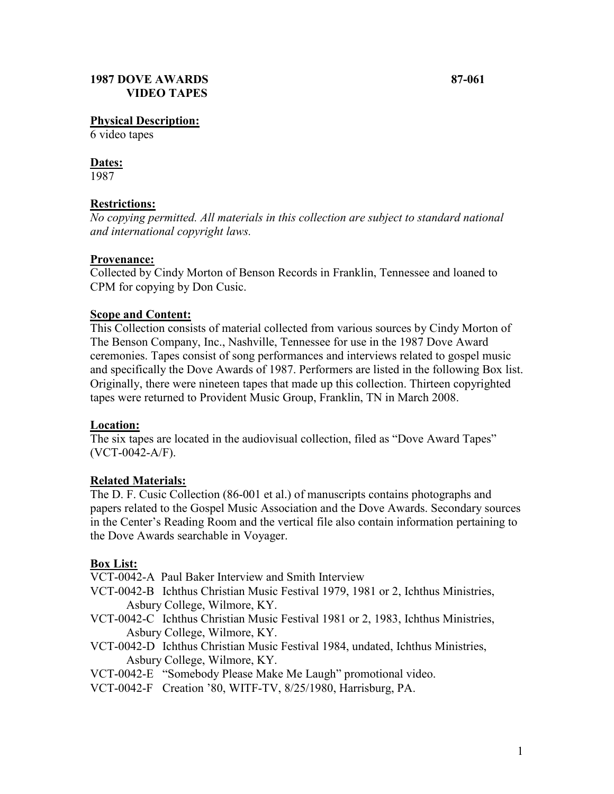#### **Physical Description:**

6 video tapes

# **Dates:**

1987

# **Restrictions:**

*No copying permitted. All materials in this collection are subject to standard national and international copyright laws.*

### **Provenance:**

Collected by Cindy Morton of Benson Records in Franklin, Tennessee and loaned to CPM for copying by Don Cusic.

### **Scope and Content:**

This Collection consists of material collected from various sources by Cindy Morton of The Benson Company, Inc., Nashville, Tennessee for use in the 1987 Dove Award ceremonies. Tapes consist of song performances and interviews related to gospel music and specifically the Dove Awards of 1987. Performers are listed in the following Box list. Originally, there were nineteen tapes that made up this collection. Thirteen copyrighted tapes were returned to Provident Music Group, Franklin, TN in March 2008.

# **Location:**

The six tapes are located in the audiovisual collection, filed as "Dove Award Tapes" (VCT-0042-A/F).

# **Related Materials:**

The D. F. Cusic Collection (86-001 et al.) of manuscripts contains photographs and papers related to the Gospel Music Association and the Dove Awards. Secondary sources in the Center's Reading Room and the vertical file also contain information pertaining to the Dove Awards searchable in Voyager.

# **Box List:**

VCT-0042-A Paul Baker Interview and Smith Interview

- VCT-0042-B Ichthus Christian Music Festival 1979, 1981 or 2, Ichthus Ministries, Asbury College, Wilmore, KY.
- VCT-0042-C Ichthus Christian Music Festival 1981 or 2, 1983, Ichthus Ministries, Asbury College, Wilmore, KY.

VCT-0042-D Ichthus Christian Music Festival 1984, undated, Ichthus Ministries, Asbury College, Wilmore, KY.

- VCT-0042-E "Somebody Please Make Me Laugh" promotional video.
- VCT-0042-F Creation '80, WITF-TV, 8/25/1980, Harrisburg, PA.